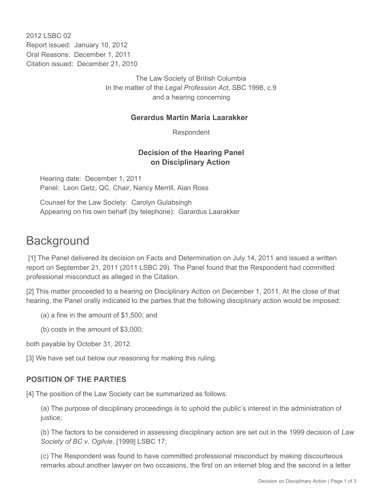2012 LSBC 02 Report issued: January 10, 2012 Oral Reasons: December 1, 2011 Citation issued: December 21, 2010

> The Law Society of British Columbia In the matter of the *Legal Profession Act*, SBC 1998, c.9 and a hearing concerning

#### **Gerardus Martin Maria Laarakker**

Respondent

### **Decision of the Hearing Panel on Disciplinary Action**

Hearing date: December 1, 2011 Panel: Leon Getz, QC, Chair, Nancy Merrill, Alan Ross

Counsel for the Law Society: Carolyn Gulabsingh Appearing on his own behalf (by telephone): Garardus Laarakker

# **Background**

 [1] The Panel delivered its decision on Facts and Determination on July 14, 2011 and issued a written report on September 21, 2011 (2011 LSBC 29). The Panel found that the Respondent had committed professional misconduct as alleged in the Citation.

[2] This matter proceeded to a hearing on Disciplinary Action on December 1, 2011. At the close of that hearing, the Panel orally indicated to the parties that the following disciplinary action would be imposed:

(a) a fine in the amount of \$1,500; and

(b) costs in the amount of \$3,000;

both payable by October 31, 2012.

[3] We have set out below our reasoning for making this ruling.

# **POSITION OF THE PARTIES**

[4] The position of the Law Society can be summarized as follows:

(a) The purpose of disciplinary proceedings is to uphold the public's interest in the administration of justice;

(b) The factors to be considered in assessing disciplinary action are set out in the 1999 decision of *Law Society of BC v. Ogilvie*, [1999] LSBC 17;

(c) The Respondent was found to have committed professional misconduct by making discourteous remarks about another lawyer on two occasions, the first on an internet blog and the second in a letter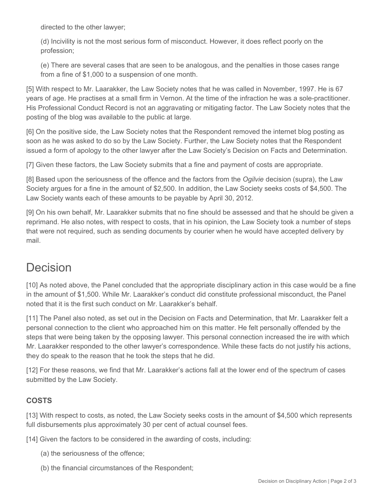directed to the other lawyer;

(d) Incivility is not the most serious form of misconduct. However, it does reflect poorly on the profession;

(e) There are several cases that are seen to be analogous, and the penalties in those cases range from a fine of \$1,000 to a suspension of one month.

[5] With respect to Mr. Laarakker, the Law Society notes that he was called in November, 1997. He is 67 years of age. He practises at a small firm in Vernon. At the time of the infraction he was a sole-practitioner. His Professional Conduct Record is not an aggravating or mitigating factor. The Law Society notes that the posting of the blog was available to the public at large.

[6] On the positive side, the Law Society notes that the Respondent removed the internet blog posting as soon as he was asked to do so by the Law Society. Further, the Law Society notes that the Respondent issued a form of apology to the other lawyer after the Law Society's Decision on Facts and Determination.

[7] Given these factors, the Law Society submits that a fine and payment of costs are appropriate.

[8] Based upon the seriousness of the offence and the factors from the *Ogilvie* decision (supra), the Law Society argues for a fine in the amount of \$2,500. In addition, the Law Society seeks costs of \$4,500. The Law Society wants each of these amounts to be payable by April 30, 2012.

[9] On his own behalf, Mr. Laarakker submits that no fine should be assessed and that he should be given a reprimand. He also notes, with respect to costs, that in his opinion, the Law Society took a number of steps that were not required, such as sending documents by courier when he would have accepted delivery by mail.

# Decision

[10] As noted above, the Panel concluded that the appropriate disciplinary action in this case would be a fine in the amount of \$1,500. While Mr. Laarakker's conduct did constitute professional misconduct, the Panel noted that it is the first such conduct on Mr. Laarakker's behalf.

[11] The Panel also noted, as set out in the Decision on Facts and Determination, that Mr. Laarakker felt a personal connection to the client who approached him on this matter. He felt personally offended by the steps that were being taken by the opposing lawyer. This personal connection increased the ire with which Mr. Laarakker responded to the other lawyer's correspondence. While these facts do not justify his actions, they do speak to the reason that he took the steps that he did.

[12] For these reasons, we find that Mr. Laarakker's actions fall at the lower end of the spectrum of cases submitted by the Law Society.

# **COSTS**

[13] With respect to costs, as noted, the Law Society seeks costs in the amount of \$4,500 which represents full disbursements plus approximately 30 per cent of actual counsel fees.

[14] Given the factors to be considered in the awarding of costs, including:

- (a) the seriousness of the offence;
- (b) the financial circumstances of the Respondent;